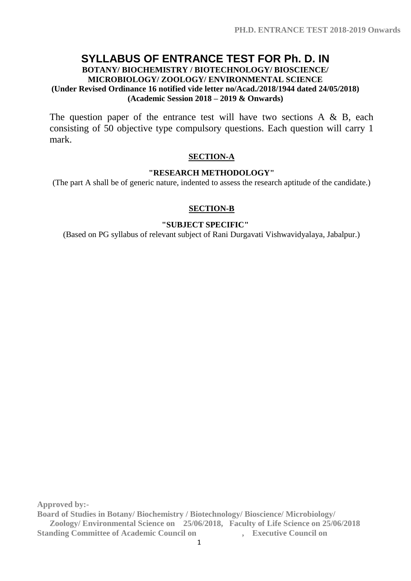# **SYLLABUS OF ENTRANCE TEST FOR Ph. D. IN**

#### **BOTANY/ BIOCHEMISTRY / BIOTECHNOLOGY/ BIOSCIENCE/ MICROBIOLOGY/ ZOOLOGY/ ENVIRONMENTAL SCIENCE (Under Revised Ordinance 16 notified vide letter no/Acad./2018/1944 dated 24/05/2018) (Academic Session 2018 – 2019 & Onwards)**

The question paper of the entrance test will have two sections  $A \& B$ , each consisting of 50 objective type compulsory questions. Each question will carry 1 mark.

### **SECTION-A**

### **"RESEARCH METHODOLOGY"**

(The part A shall be of generic nature, indented to assess the research aptitude of the candidate.)

# **SECTION-B**

# **"SUBJECT SPECIFIC"**

(Based on PG syllabus of relevant subject of Rani Durgavati Vishwavidyalaya, Jabalpur.)

**Approved by:-**

**Board of Studies in Botany/ Biochemistry / Biotechnology/ Bioscience/ Microbiology/ Zoology/ Environmental Science on 25/06/2018, Faculty of Life Science on 25/06/2018 Standing Committee of Academic Council on** , Executive Council on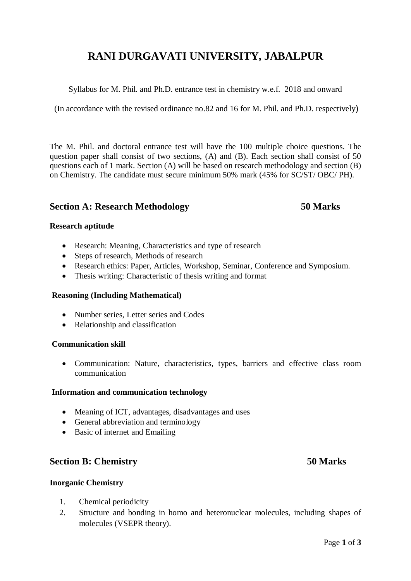# **RANI DURGAVATI UNIVERSITY, JABALPUR**

Syllabus for M. Phil. and Ph.D. entrance test in chemistry w.e.f. 2018 and onward

(In accordance with the revised ordinance no.82 and 16 for M. Phil. and Ph.D. respectively)

The M. Phil. and doctoral entrance test will have the 100 multiple choice questions. The question paper shall consist of two sections, (A) and (B). Each section shall consist of 50 questions each of 1 mark. Section (A) will be based on research methodology and section (B) on Chemistry. The candidate must secure minimum 50% mark (45% for SC/ST/ OBC/ PH).

### **Section A: Research Methodology 50 Marks**

#### **Research aptitude**

- Research: Meaning, Characteristics and type of research
- Steps of research, Methods of research
- Research ethics: Paper, Articles, Workshop, Seminar, Conference and Symposium.
- Thesis writing: Characteristic of thesis writing and format

#### **Reasoning (Including Mathematical)**

- Number series, Letter series and Codes
- Relationship and classification

#### **Communication skill**

 Communication: Nature, characteristics, types, barriers and effective class room communication

#### **Information and communication technology**

- Meaning of ICT, advantages, disadvantages and uses
- General abbreviation and terminology
- Basic of internet and Emailing

### **Section B: Chemistry 50 Marks**

#### **Inorganic Chemistry**

- 1. Chemical periodicity
- 2. Structure and bonding in homo and heteronuclear molecules, including shapes of molecules (VSEPR theory).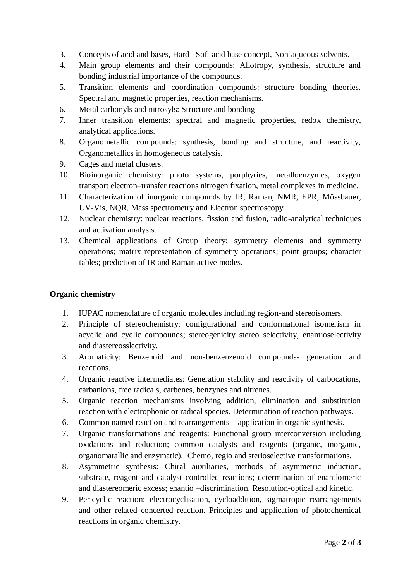- 3. Concepts of acid and bases, Hard –Soft acid base concept, Non-aqueous solvents.
- 4. Main group elements and their compounds: Allotropy, synthesis, structure and bonding industrial importance of the compounds.
- 5. Transition elements and coordination compounds: structure bonding theories. Spectral and magnetic properties, reaction mechanisms.
- 6. Metal carbonyls and nitrosyls: Structure and bonding
- 7. Inner transition elements: spectral and magnetic properties, redox chemistry, analytical applications.
- 8. Organometallic compounds: synthesis, bonding and structure, and reactivity, Organometallics in homogeneous catalysis.
- 9. Cages and metal clusters.
- 10. Bioinorganic chemistry: photo systems, porphyries, metalloenzymes, oxygen transport electron–transfer reactions nitrogen fixation, metal complexes in medicine.
- 11. Characterization of inorganic compounds by IR, Raman, NMR, EPR, Mössbauer, UV-Vis, NQR, Mass spectrometry and Electron spectroscopy.
- 12. Nuclear chemistry: nuclear reactions, fission and fusion, radio-analytical techniques and activation analysis.
- 13. Chemical applications of Group theory; symmetry elements and symmetry operations; matrix representation of symmetry operations; point groups; character tables; prediction of IR and Raman active modes.

#### **Organic chemistry**

- 1. IUPAC nomenclature of organic molecules including region-and stereoisomers.
- 2. Principle of stereochemistry: configurational and conformational isomerism in acyclic and cyclic compounds; stereogenicity stereo selectivity, enantioselectivity and diastereosslectivity.
- 3. Aromaticity: Benzenoid and non-benzenzenoid compounds- generation and reactions.
- 4. Organic reactive intermediates: Generation stability and reactivity of carbocations, carbanions, free radicals, carbenes, benzynes and nitrenes.
- 5. Organic reaction mechanisms involving addition, elimination and substitution reaction with electrophonic or radical species. Determination of reaction pathways.
- 6. Common named reaction and rearrangements application in organic synthesis.
- 7. Organic transformations and reagents: Functional group interconversion including oxidations and reduction; common catalysts and reagents (organic, inorganic, organomatallic and enzymatic). Chemo, regio and sterioselective transformations.
- 8. Asymmetric synthesis: Chiral auxiliaries, methods of asymmetric induction, substrate, reagent and catalyst controlled reactions; determination of enantiomeric and diastereomeric excess; enantio –discrimination. Resolution-optical and kinetic.
- 9. Pericyclic reaction: electrocyclisation, cycloaddition, sigmatropic rearrangements and other related concerted reaction. Principles and application of photochemical reactions in organic chemistry.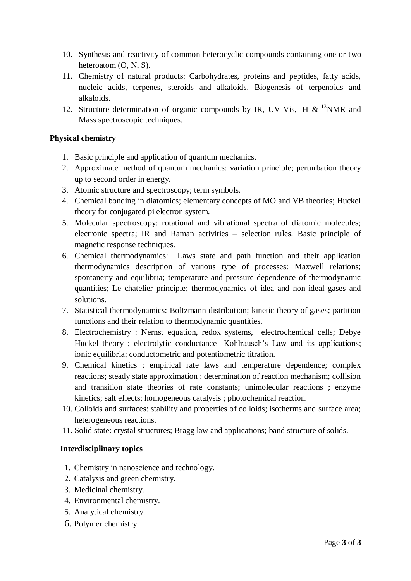- 10. Synthesis and reactivity of common heterocyclic compounds containing one or two heteroatom (O, N, S).
- 11. Chemistry of natural products: Carbohydrates, proteins and peptides, fatty acids, nucleic acids, terpenes, steroids and alkaloids. Biogenesis of terpenoids and alkaloids.
- 12. Structure determination of organic compounds by IR, UV-Vis,  ${}^{1}H \& {}^{13}NMR$  and Mass spectroscopic techniques.

### **Physical chemistry**

- 1. Basic principle and application of quantum mechanics.
- 2. Approximate method of quantum mechanics: variation principle; perturbation theory up to second order in energy.
- 3. Atomic structure and spectroscopy; term symbols.
- 4. Chemical bonding in diatomics; elementary concepts of MO and VB theories; Huckel theory for conjugated pi electron system.
- 5. Molecular spectroscopy: rotational and vibrational spectra of diatomic molecules; electronic spectra; IR and Raman activities – selection rules. Basic principle of magnetic response techniques.
- 6. Chemical thermodynamics: Laws state and path function and their application thermodynamics description of various type of processes: Maxwell relations; spontaneity and equilibria; temperature and pressure dependence of thermodynamic quantities; Le chatelier principle; thermodynamics of idea and non-ideal gases and solutions.
- 7. Statistical thermodynamics: Boltzmann distribution; kinetic theory of gases; partition functions and their relation to thermodynamic quantities.
- 8. Electrochemistry : Nernst equation, redox systems, electrochemical cells; Debye Huckel theory ; electrolytic conductance- Kohlrausch's Law and its applications; ionic equilibria; conductometric and potentiometric titration.
- 9. Chemical kinetics : empirical rate laws and temperature dependence; complex reactions; steady state approximation ; determination of reaction mechanism; collision and transition state theories of rate constants; unimolecular reactions ; enzyme kinetics; salt effects; homogeneous catalysis ; photochemical reaction.
- 10. Colloids and surfaces: stability and properties of colloids; isotherms and surface area; heterogeneous reactions.
- 11. Solid state: crystal structures; Bragg law and applications; band structure of solids.

### **Interdisciplinary topics**

- 1. Chemistry in nanoscience and technology.
- 2. Catalysis and green chemistry.
- 3. Medicinal chemistry.
- 4. Environmental chemistry.
- 5. Analytical chemistry.
- 6. Polymer chemistry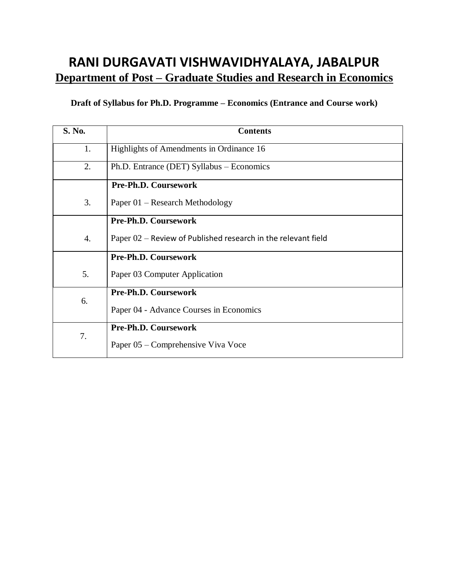# **RANI DURGAVATI VISHWAVIDHYALAYA, JABALPUR <u>Department of Post – Graduate Studies and Research in Economics</u>**

# **Draft of Syllabus for Ph.D. Programme – Economics (Entrance and Course work)**

| <b>S. No.</b>    | <b>Contents</b>                                                 |
|------------------|-----------------------------------------------------------------|
| 1.               | Highlights of Amendments in Ordinance 16                        |
| 2.               | Ph.D. Entrance (DET) Syllabus - Economics                       |
|                  | Pre-Ph.D. Coursework                                            |
| 3.               | Paper 01 – Research Methodology                                 |
|                  | Pre-Ph.D. Coursework                                            |
| $\overline{4}$ . | Paper $02$ – Review of Published research in the relevant field |
|                  | Pre-Ph.D. Coursework                                            |
| 5.               | Paper 03 Computer Application                                   |
| 6.               | Pre-Ph.D. Coursework                                            |
|                  | Paper 04 - Advance Courses in Economics                         |
| 7.               | Pre-Ph.D. Coursework                                            |
|                  | Paper 05 – Comprehensive Viva Voce                              |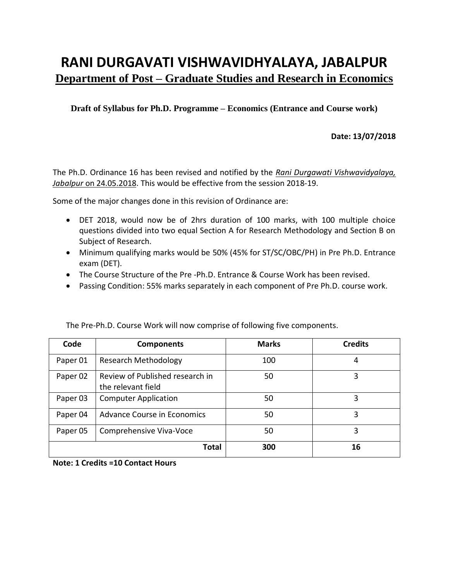# **RANI DURGAVATI VISHWAVIDHYALAYA, JABALPUR Department of Post – Graduate Studies and Research in Economics**

**Draft of Syllabus for Ph.D. Programme – Economics (Entrance and Course work)**

### **Date: 13/07/2018**

The Ph.D. Ordinance 16 has been revised and notified by the *Rani Durgawati Vishwavidyalaya, Jabalpur* on 24.05.2018. This would be effective from the session 2018-19.

Some of the major changes done in this revision of Ordinance are:

- DET 2018, would now be of 2hrs duration of 100 marks, with 100 multiple choice questions divided into two equal Section A for Research Methodology and Section B on Subject of Research.
- Minimum qualifying marks would be 50% (45% for ST/SC/OBC/PH) in Pre Ph.D. Entrance exam (DET).
- The Course Structure of the Pre -Ph.D. Entrance & Course Work has been revised.
- Passing Condition: 55% marks separately in each component of Pre Ph.D. course work.

| Code     | <b>Components</b>                                     | <b>Marks</b> | <b>Credits</b> |
|----------|-------------------------------------------------------|--------------|----------------|
| Paper 01 | <b>Research Methodology</b>                           | 100          | 4              |
| Paper 02 | Review of Published research in<br>the relevant field | 50           | 3              |
| Paper 03 | <b>Computer Application</b>                           | 50           | 3              |
| Paper 04 | Advance Course in Economics                           | 50           | 3              |
| Paper 05 | Comprehensive Viva-Voce                               | 50           | 3              |
|          | <b>Total</b>                                          | 300          | 16             |

The Pre-Ph.D. Course Work will now comprise of following five components.

**Note: 1 Credits =10 Contact Hours**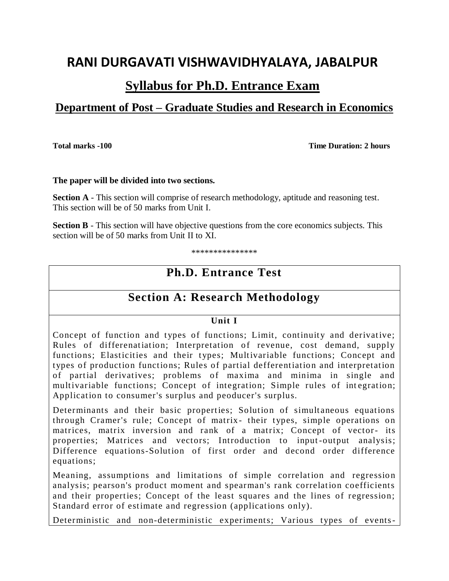# **RANI DURGAVATI VISHWAVIDHYALAYA, JABALPUR**

# **Syllabus for Ph.D. Entrance Exam**

# **Department of Post – Graduate Studies and Research in Economics**

**Total marks -100** Total marks -100

#### **The paper will be divided into two sections.**

**Section A** - This section will comprise of research methodology, aptitude and reasoning test. This section will be of 50 marks from Unit I.

**Section B** - This section will have objective questions from the core economics subjects. This section will be of 50 marks from Unit II to XI.

\*\*\*\*\*\*\*\*\*\*\*\*\*\*\*

# **Ph.D. Entrance Test**

# **Section A: Research Methodology**

# **Unit I**

Concept of function and types of functions; Limit, continuity and derivative; Rules of differenatiation; Interpretation of revenue, cost demand, supply functions; Elasticities and their types; Multivariable functions; Concept and types of production functions; Rules of partial defferentiation and interpretation of partial derivatives; problems of maxima and minima in single and multivariable functions; Concept of integration; Simple rules of integration; Application to consumer's surplus and peoducer's surplus.

Determinants and their basic properties; Solution of simultaneous equations through Cramer's rule; Concept of matrix- their types, simple operations on matrices, matrix inversion and rank of a matrix; Concept of vector- its properties; Matrices and vectors; Introduction to input-output analysis; Difference equations-Solution of first order and decond order difference equations;

Meaning, assumptions and limitations of simple correlation and regression analysis; pearson's product moment and spearman's rank correlation coefficients and their properties; Concept of the least squares and the lines of regression; Standard error of estimate and regression (applications only).

Deterministic and non-deterministic experiments; Various types of events-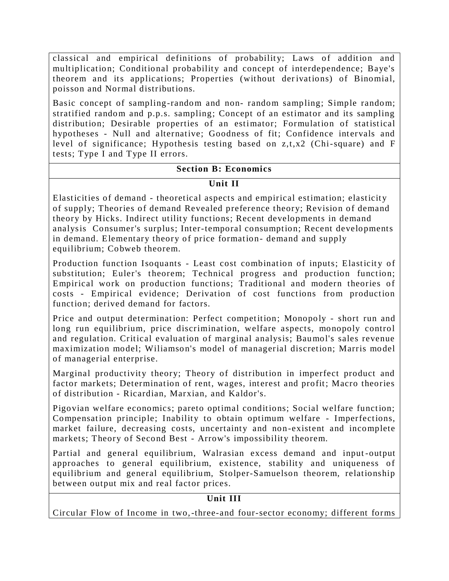classical and empirical definitions of probability; Laws of addition and multiplication; Conditional probability and concept of interdependence; Baye's theorem and its applications; Properties (without derivations) of Binomial, poisson and Normal distributions.

Basic concept of sampling-random and non- random sampling; Simple random; stratified random and p.p.s. sampling; Concept of an estimator and its sampling distribution; Desirable properties of an estimator; Formulation of statistical hypotheses - Null and alternative; Goodness of fit; Confidence intervals and level of significance; Hypothesis testing based on z,t,x2 (Chi-square) and F tests; Type I and Type II errors.

### **Section B: Economics**

# **Unit II**

Elasticities of demand - theoretical aspects and empirical estimation; elasticity of supply; Theories of demand Revealed preference theory; Revision of demand theory by Hicks. Indirect utility functions; Recent developments in demand analysis Consumer's surplus; Inter-temporal consumption; Recent developments in demand. Elementary theory of price formation- demand and supply equilibrium; Cobweb theorem.

Production function Isoquants - Least cost combination of inputs; Elasticity of substitution; Euler's theorem; Technical progress and production function; Empirical work on production functions; Traditional and modern theories of costs - Empirical evidence; Derivation of cost functions from production function; derived demand for factors.

Price and output determination: Perfect competition; Monopoly - short run and long run equilibrium, price discrimination, welfare aspects, monopoly control and regulation. Critical evaluation of marginal analysis; Baumol's sales revenue maximization model; Wiliamson's model of managerial discretion; Marris model of managerial enterprise.

Marginal productivity theory; Theory of distribution in imperfect product and factor markets; Determination of rent, wages, interest and profit; Macro theories of distribution - Ricardian, Marxian, and Kaldor's.

Pigovian welfare economics; pareto optimal conditions; Social welfare function; Compensation principle; Inability to obtain optimum welfare - Imperfections, market failure, decreasing costs, uncertainty and non-existent and incomplete markets; Theory of Second Best - Arrow's impossibility theorem.

Partial and general equilibrium, Walrasian excess demand and input -output approaches to general equilibrium, existence, stability and uniqueness of equilibrium and general equilibrium, Stolper-Samuelson theorem, relationship between output mix and real factor prices.

# **Unit III**

Circular Flow of Income in two,-three-and four-sector economy; different forms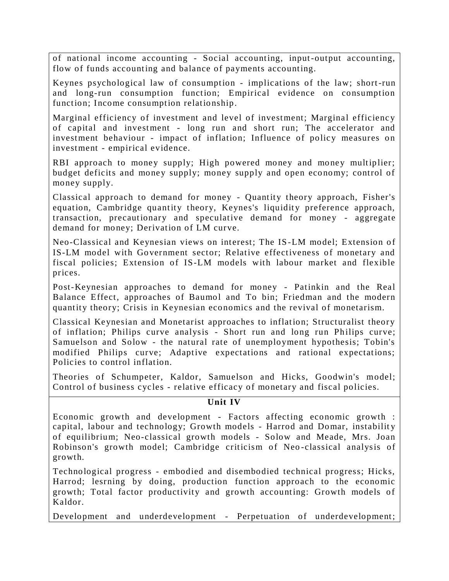of national income accounting - Social accounting, input-output accounting, flow of funds accounting and balance of payments accounting.

Keynes psychological law of consumption - implications of the law; short-run and long-run consumption function; Empirical evidence on consumption function; Income consumption relationship.

Marginal efficiency of investment and level of investment; Marginal efficienc y of capital and investment - long run and short run; The accelerator and investment behaviour - impact of inflation; Influence of policy measures on investment - empirical evidence.

RBI approach to money supply; High powered money and money multiplier; budget deficits and money supply; money supply and open economy; control of money supply.

Classical approach to demand for money - Quantity theory approach, Fisher's equation, Cambridge quantity theory, Keynes's liquidity preference approach, transaction, precautionary and speculative demand for money - aggregate demand for money; Derivation of LM curve.

Neo-Classical and Keynesian views on interest; The IS-LM model; Extension of IS-LM model with Government sector; Relative effectiveness of monetary and fiscal policies; Extension of IS-LM models with labour market and flexible prices.

Post-Keynesian approaches to demand for money - Patinkin and the Real Balance Effect, approaches of Baumol and To bin; Friedman and the modern quantity theory; Crisis in Keynesian economics and the revival of monetarism.

Classical Keynesian and Monetarist approaches to inflation; Structuralist theor y of inflation; Philips curve analysis - Short run and long run Philips curve; Samuelson and Solow - the natural rate of unemployment hypothesis; Tobin's modified Philips curve; Adaptive expectations and rational expectations; Policies to control inflation.

Theories of Schumpeter, Kaldor, Samuelson and Hicks, Goodwin's model; Control of business cycles - relative efficacy of monetary and fiscal policies.

### **Unit IV**

Economic growth and development - Factors affecting economic growth : capital, labour and technology; Growth models - Harrod and Domar, instability of equilibrium; Neo-classical growth models - Solow and Meade, Mrs. Joan Robinson's growth model; Cambridge criticism of Neo -classical analysis of growth.

Technological progress - embodied and disembodied technical progress; Hicks, Harrod; lesrning by doing, production function approach to the economic growth; Total factor productivity and growth accounting: Growth models of Kaldor.

Development and underdevelopment - Perpetuation of underdevelopment;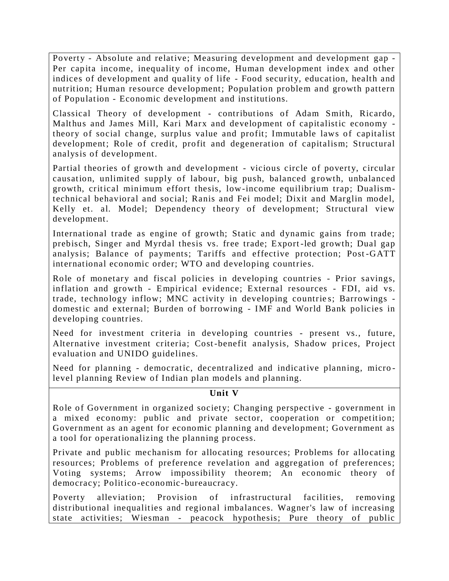Poverty - Absolute and relative; Measuring development and development gap - Per capita income, inequality of income, Human development index and other indices of development and quality of life - Food security, education, health and nutrition; Human resource development; Population problem and growth pattern of Population - Economic development and institutions.

Classical Theory of development - contributions of Adam Smith, Ricardo, Malthus and James Mill, Kari Marx and development of capitalistic economy theory of social change, surplus value and profit; Immutable laws of capitalist development; Role of credit, profit and degeneration of capitalism; Structural analysis of development.

Partial theories of growth and development - vicious circle of poverty, circular causation, unlimited supply of labour, big push, balanced growth, unbalanced growth, critical minimum effort thesis, low-income equilibrium trap; Dualismtechnical behavioral and social; Ranis and Fei model; Dixit and Marglin model, Kelly et. al. Model; Dependency theory of development; Structural view development.

International trade as engine of growth; Static and dynamic gains from trade; prebisch, Singer and Myrdal thesis vs. free trade; Export -led growth; Dual gap analysis; Balance of payments; Tariffs and effective protection; Post -GATT international economic order; WTO and developing countries.

Role of monetary and fiscal policies in developing countries - Prior savings, inflation and growth - Empirical evidence; External resources - FDI, aid vs. trade, technology inflow; MNC activity in developing countrie s; Barrowings domestic and external; Burden of borrowing - IMF and World Bank policies in developing countries.

Need for investment criteria in developing countries - present vs., future, Alternative investment criteria; Cost-benefit analysis, Shadow prices, Project evaluation and UNIDO guidelines.

Need for planning - democratic, decentralized and indicative planning, micro level planning Review of Indian plan models and planning.

### **Unit V**

Role of Government in organized society; Changing perspective - government in a mixed economy: public and private sector, cooperation or competition; Government as an agent for economic planning and development; Government as a tool for operationalizing the planning process.

Private and public mechanism for allocating resources; Problems for allocating resources; Problems of preference revelation and aggregation of preferences; Voting systems; Arrow impossibility theorem; An economic theory of democracy; Politico-economic-bureaucracy.

Poverty alleviation; Provision of infrastructural facilities, removing distributional inequalities and regional imbalances. Wagner's law of increasing state activities; Wiesman - peacock hypothesis; Pure theory of public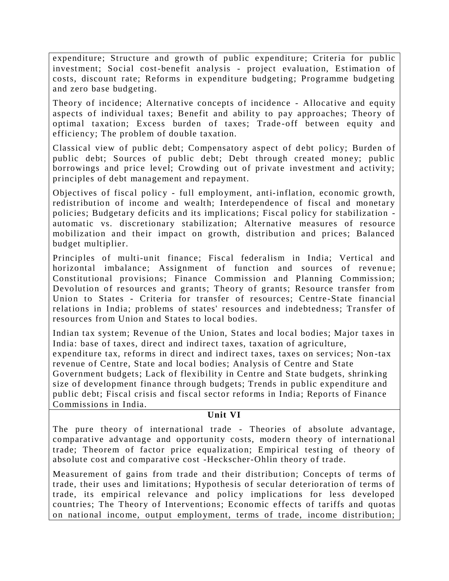expenditure; Structure and growth of public expenditure; Criteria for public investment; Social cost-benefit analysis - project evaluation, Estimation of costs, discount rate; Reforms in expenditure budgeting; Programme budgeting and zero base budgeting.

Theory of incidence; Alternative concepts of incidence - Allocative and equity aspects of individual taxes; Benefit and ability to pay approaches; Theory of optimal taxation; Excess burden of taxes; Trade -off between equity and efficiency; The problem of double taxation.

Classical view of public debt; Compensatory aspect of debt policy; Burden of public debt; Sources of public debt; Debt through created money; public borrowings and price level; Crowding out of private investment and activity; principles of debt management and repayment.

Objectives of fiscal policy - full emplo yment, anti-inflation, economic growth, redistribution of income and wealth; Interdependence of fiscal and monetary policies; Budgetary deficits and its implications; Fiscal policy for stabilization automatic vs. discretionary stabilization; Alternative measures of resource mobilization and their impact on growth, distribution and prices; Balanced budget multiplier.

Principles of multi-unit finance; Fiscal federalism in India; Vertical and horizontal imbalance; Assignment of function and sources of revenue; Constitutional provisions; Finance Commission and Planning Commission; Devolution of resources and grants; Theory of grants; Resource transfer from Union to States - Criteria for transfer of resources; Centre -State financial relations in India; problems of states' resources and indebtedness; Transfer of resources from Union and States to local bodies.

Indian tax system; Revenue of the Union, States and local bodies; Major taxes in India: base of taxes, direct and indirect taxes, taxation of agriculture, expenditure tax, reforms in direct and indirect taxes, taxes on services; Non -tax

revenue of Centre, State and local bodies; Analysis of Centre and State Government budgets; Lack of flexibility in Centre and State budgets, shrinking size of development finance through budgets; Trends in public expenditure and public debt; Fiscal crisis and fiscal sector reforms in India; Reports of Finance Commissions in India.

### **Unit VI**

The pure theory of international trade - Theories of absolute advantage, comparative advantage and opportunity costs, modern theory of international trade; Theorem of factor price equalization; Empirical testing of theory of absolute cost and comparative cost -Heckscher-Ohlin theory of trade.

Measurement of gains from trade and their distribu tion; Concepts of terms of trade, their uses and limitations; Hypothesis of secular deterioration of terms of trade, its empirical relevance and policy implications for less developed countries; The Theory of Interventions; Economic effects of tariffs and quotas on national income, output emplo yment, terms of trade, income distribution;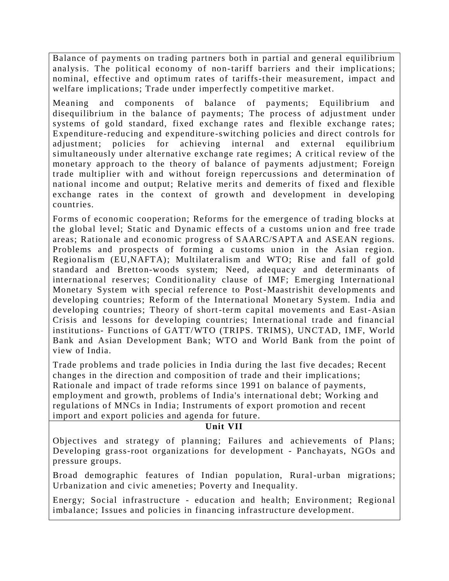Balance of payments on trading partners both in partial and general equilibrium analysis. The political economy of non-tariff barriers and their implications; nominal, effective and optimum rates of tariffs-their measurement, impact and welfare implications; Trade under imperfectly competitive market.

Meaning and components of balance of payments; Equilibrium and disequilibrium in the balance of payments; The process of adjustment under systems of gold standard, fixed exchange rates and flexible exchange rates; Expenditure-reducing and expenditure-switching policies and direct controls for adjustment; policies for achieving internal and external equilibrium simultaneously under alternative exchange rate regimes; A critical review of the monetary approach to the theory of balance of payments adjustment; Foreign trade multiplier with and without foreign repercussions and determination of national income and output; Relative merits and demerits of fixed and flexible exchange rates in the context of growth and development in developing countries.

Forms of economic cooperation; Reforms for the emergence of trading blocks at the global level; Static and Dynamic effects of a customs union and free trade areas; Rationale and economic progress of SAARC/SAPTA and ASEAN regions. Problems and prospects of forming a customs union in the Asian region. Regionalism (EU,NAFTA); Multilateralism and WTO; Rise and fall of gold standard and Bretton-woods system; Need, adequacy and determinants of international reserves; Conditionality clause of IMF; Emerging International Monetary System with special reference to Post-Maastrishit developments and developing countries; Reform of the International Monet ary System. India and developing countries; Theory of short-term capital movements and East-Asian Crisis and lessons for developing countries; International trade and financial institutions- Functions of GATT/WTO (TRIPS. TRIMS), UNCTAD, IMF, World Bank and Asian Development Bank; WTO and World Bank from the point of view of India.

Trade problems and trade policies in India during the last five decades; Recent changes in the direction and composition of trade and their implications; Rationale and impact of trade reforms since 1991 on balance of payments, employment and growth, problems of India's international debt; Working and regulations of MNCs in India; Instruments of export promotion and recent import and export policies and agenda for future.

### **Unit VII**

Objectives and strategy of planning; Failures and achievements of Plans; Developing grass-root organizations for development - Panchayats, NGOs and pressure groups.

Broad demographic features of Indian population, Rural-urban migrations; Urbanization and civic ameneties; Poverty and Inequality.

Energy; Social infrastructure - education and health; Environment; Regional imbalance; Issues and policies in financing infrastructure development.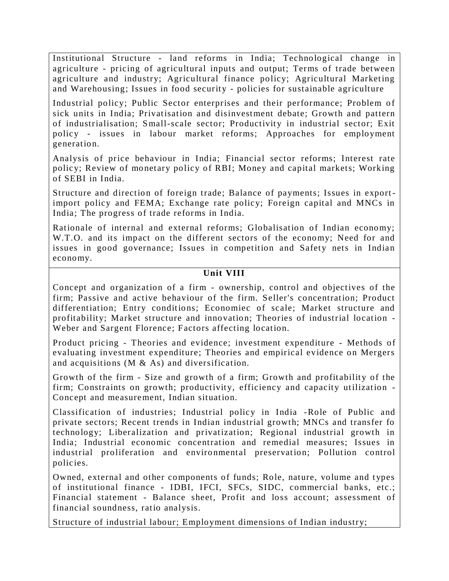Institutional Structure - land reforms in India; Technological change in agriculture - pricing of agricultural inputs and output; Terms of trade between agriculture and industry; Agricultural finance policy; Agricultural Marketing and Warehousing; Issues in food security - policies for sustainable agriculture

Industrial policy; Public Sector enterprises and their performance; Problem of sick units in India; Privatisation and disinvestment debate; Growth and pattern of industrialisation; Small-scale sector; Productivity in industrial sector; Exit policy - issues in labour market reforms; Approaches for employment generation.

Analysis of price behaviour in India; Financial sector reforms; Interest rate policy; Review of monetary policy of RBI; Money and capital markets; Working of SEBI in India.

Structure and direction of foreign trade; Balance of payments; Issues in exportimport policy and FEMA; Exchange rate policy; Foreign capital and MNCs in India; The progress of trade reforms in India.

Rationale of internal and external reforms; Globalisation of Indian economy; W.T.O. and its impact on the different sectors of the economy; Need for and issues in good governance; Issues in competition and Safety nets in Indian economy.

### **Unit VIII**

Concept and organization of a firm - ownership, control and objectives of the firm; Passive and active behaviour of the firm. Seller's concentration; Product differentiation; Entry conditions; Economiec of scale; Market structure and profitability; Market structure and innovation; Theories of industrial location - Weber and Sargent Florence; Factors affecting location.

Product pricing - Theories and evidence; investment expenditure - Methods of evaluating investment expenditure; Theories and empirical evidence on Mergers and acquisitions (M & As) and diversification.

Growth of the firm - Size and growth of a firm; Growth and profitability of the firm; Constraints on growth; productivity, efficiency and capacity utilization - Concept and measurement, Indian situation.

Classification of industries; Industrial policy in India -Role of Public and private sectors; Recent trends in Indian industrial growth; MNCs and transfer fo technology; Liberalization and privatization; Regional industrial growth in India; Industrial economic concentration and remedial measures; Issues in industrial proliferation and environmental preservation; Pollution control policies.

Owned, external and other components of funds; Role, nature, volume and types of institutional finance - IDBI, IFCI, SFCs, SIDC, commercial banks, etc.; Financial statement - Balance sheet, Profit and loss account; assessment of financial soundness, ratio analysis.

Structure of industrial labour; Employment dimensions of Indian industry;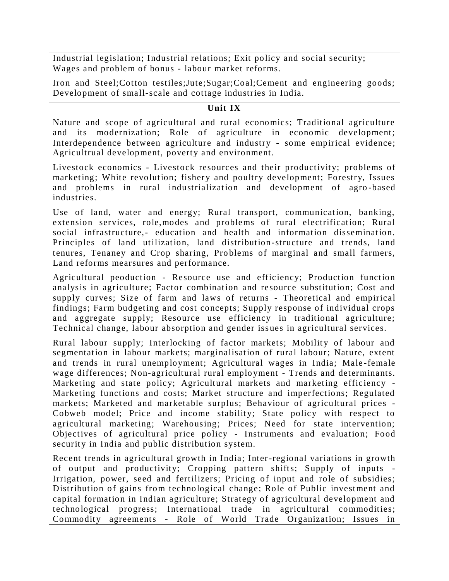Industrial legislation; Industrial relations; Exit policy and social security; Wages and problem of bonus - labour market reforms.

Iron and Steel;Cotton testiles;Jute;Sugar;Coal;Cement and engineering goods; Development of small-scale and cottage industries in India.

# **Unit IX**

Nature and scope of agricultural and rural economics; Traditional agriculture and its modernization; Role of agriculture in economic development; Interdependence between agriculture and industry - some empirical evidence; Agricultrual development, poverty and environment.

Livestock economics - Livestock resources and their productivity; problems of marketing; White revolution; fishery and poultry development; Forestry, Issues and problems in rural industrialization and development of agro -based industries.

Use of land, water and energy; Rural transport, communication, banking, extension services, role,modes and problems of rural electrification; Rural social infrastructure,- education and health and information dissemination. Principles of land utilization, land distribution-structure and trends, land tenures, Tenaney and Crop sharing, Pro blems of marginal and small farmers, Land reforms mearsures and performance.

Agricultural peoduction - Resource use and efficiency; Production function analysis in agriculture; Factor combination and resource substitution; Cost and supply curves; Size of farm and laws of returns - Theoretical and empirical findings; Farm budgeting and cost concepts; Supply response of individual crops and aggregate supply; Resource use efficiency in traditional agriculture; Technical change, labour absorption and gender iss ues in agricultural services.

Rural labour supply; Interlocking of factor markets; Mobility of labour and segmentation in labour markets; marginalisation of rural labour; Nature, extent and trends in rural unemployment; Agricultural wages in India; Male -female wage differences; Non-agricultural rural emplo yment - Trends and determinants. Marketing and state policy; Agricultural markets and marketing efficiency - Marketing functions and costs; Market structure and imperfections; Regulated markets; Marketed and marketable surplus; Behaviour of agricultural prices - Cobweb model; Price and income stability; State policy with respect to agricultural marketing; Warehousing; Prices; Need for state intervention; Objectives of agricultural price policy - Instruments and evaluation; Food security in India and public distribution system.

Recent trends in agricultural growth in India; Inter-regional variations in growth of output and productivity; Cropping pattern shifts; Supply of inputs - Irrigation, power, seed and fertilizers; Pricing of input and role of subsidies; Distribution of gains from technological change; Role of Public investment and capital formation in Indian agriculture; Strategy of agricultural development and technological progress; International trade in agricultural commodities; Commodity agreements - Role of World Trade Organization; Issues in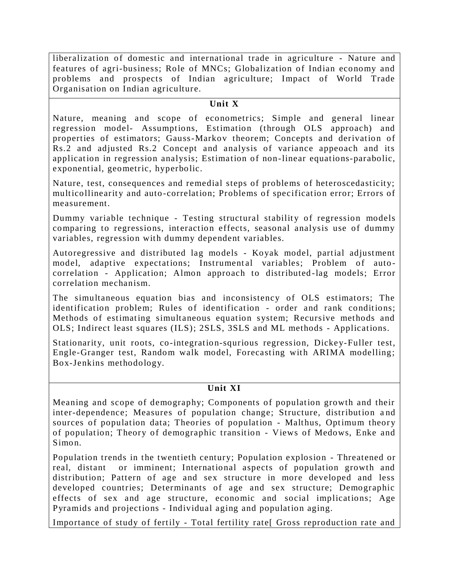liberalization of domestic and international trade in agriculture - Nature and features of agri-business; Role of MNCs; Globalization of Indian economy and problems and prospects of Indian agriculture; Impact of World Trade Organisation on Indian agriculture.

#### **Unit X**

Nature, meaning and scope of econometrics; Simple and general linear regression model- Assumptions, Estimation (through OLS approach) and properties of estimators; Gauss-Markov theorem; Concepts and derivation of Rs.2 and adjusted Rs.2 Concept and analysis of variance appeoach and its application in regression analysis; Estimation of non-linear equations-parabolic, exponential, geometric, hyperbolic.

Nature, test, consequences and remedial steps of problems of heteroscedasticity; multicollinearity and auto -correlation; Problems of specification error; Errors of measurement.

Dummy variable technique - Testing structural stability of regression models comparing to regressions, interaction effects, seasonal analysis use of dummy variables, regression with dummy dependent variables.

Autoregressive and distributed lag models - Koyak model, partial adjustment model, adaptive expectations; Instrumental variables; Problem of autocorrelation - Application; Almon approach to distributed -lag models; Error correlation mechanism.

The simultaneous equation bias and inconsistency of OLS estimators; The identification problem; Rules of identification - order and rank conditions; Methods of estimating simultaneous equation system; Recursive methods and OLS; Indirect least squares (ILS); 2SLS, 3SLS and ML methods - Applications.

Stationarity, unit roots, co-integration-squrious regression, Dickey-Fuller test, Engle-Granger test, Random walk model, Forecasting with ARIMA modelling; Box-Jenkins methodology.

### **Unit XI**

Meaning and scope of demography; Components of population growth and their inter-dependence; Measures of population change; Structure, distribution a nd sources of population data; Theories of population - Malthus, Optimum theory of population; Theory of demographic transition - Views of Medows, Enke and Simon.

Population trends in the twentieth century; Population explosion - Threatened or real, distant or imminent; International aspects of population growth and distribution; Pattern of age and sex structure in more developed and less developed countries; Determinants of age and sex structure; Demographic effects of sex and age structure, economic and social implications; Age Pyramids and projections - Individual aging and population aging.

Importance of study of fertily - Total fertility rate[ Gross reproduction rate and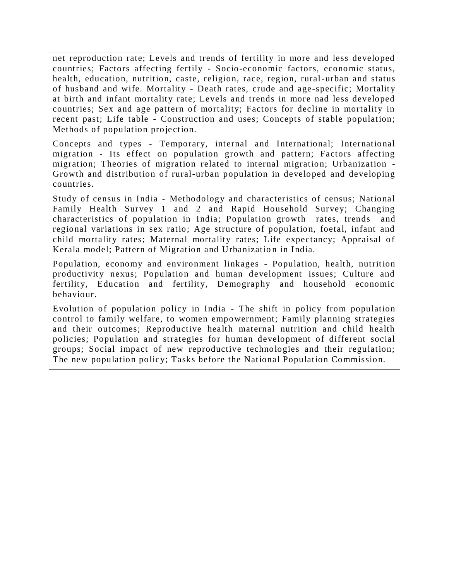net reproduction rate; Levels and trends of fertility in more and less developed countries; Factors affecting fertily - Socio-economic factors, economic status, health, education, nutrition, caste, religion, race, region, rural-urban and status of husband and wife. Mortality - Death rates, crude and age-specific; Mortality at birth and infant mortality rate; Levels and trends in more nad less developed countries; Sex and age pattern of mortality; Factors for decline in mortality in recent past; Life table - Construction and uses; Concepts of stable population; Methods of population proje ction.

Concepts and types - Temporary, internal and International; International migration - Its effect on population growth and pattern; Factors affecting migration; Theories of migration related to internal migration; Urbanization - Growth and distribution of rural-urban population in developed and developing countries.

Study of census in India - Methodology and characteristics of census; National Family Health Survey 1 and 2 and Rapid Household Survey; Changing characteristics of population in India; Population growth rates, trends and regional variations in sex ratio; Age structure of population, foetal, infant and child mortality rates; Maternal mortality rates; Life expectancy; Appraisal of Kerala model; Pattern of Migration and Urbanization in India.

Population, economy and environment linkages - Population, health, nutrition productivity nexus; Population and human development issues; Culture and fertility, Education and fertility, Demography and household economic behaviour.

Evolution of population policy in India - The shift in policy from population control to family welfare, to women empowernment; Family planning strategies and their outcomes; Reproductive health maternal nutrition and child health policies; Population and strategies for human development of different social groups; Social impact of new reproductive technologies and their regulation; The new population policy; Tasks before the National Population Commission.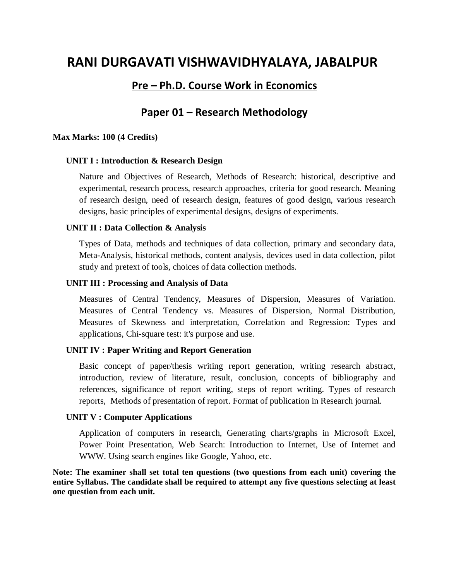# **RANI DURGAVATI VISHWAVIDHYALAYA, JABALPUR**

# **Pre – Ph.D. Course Work in Economics**

# **Paper 01 – Research Methodology**

#### **Max Marks: 100 (4 Credits)**

#### **UNIT I : Introduction & Research Design**

Nature and Objectives of Research, Methods of Research: historical, descriptive and experimental, research process, research approaches, criteria for good research. Meaning of research design, need of research design, features of good design, various research designs, basic principles of experimental designs, designs of experiments.

#### **UNIT II : Data Collection & Analysis**

Types of Data, methods and techniques of data collection, primary and secondary data, Meta-Analysis, historical methods, content analysis, devices used in data collection, pilot study and pretext of tools, choices of data collection methods.

#### **UNIT III : Processing and Analysis of Data**

Measures of Central Tendency, Measures of Dispersion, Measures of Variation. Measures of Central Tendency vs. Measures of Dispersion, Normal Distribution, Measures of Skewness and interpretation, Correlation and Regression: Types and applications, Chi-square test: it's purpose and use.

#### **UNIT IV : Paper Writing and Report Generation**

Basic concept of paper/thesis writing report generation, writing research abstract, introduction, review of literature, result, conclusion, concepts of bibliography and references, significance of report writing, steps of report writing. Types of research reports, Methods of presentation of report. Format of publication in Research journal.

#### **UNIT V : Computer Applications**

Application of computers in research, Generating charts/graphs in Microsoft Excel, Power Point Presentation, Web Search: Introduction to Internet, Use of Internet and WWW. Using search engines like Google, Yahoo, etc.

**Note: The examiner shall set total ten questions (two questions from each unit) covering the entire Syllabus. The candidate shall be required to attempt any five questions selecting at least one question from each unit.**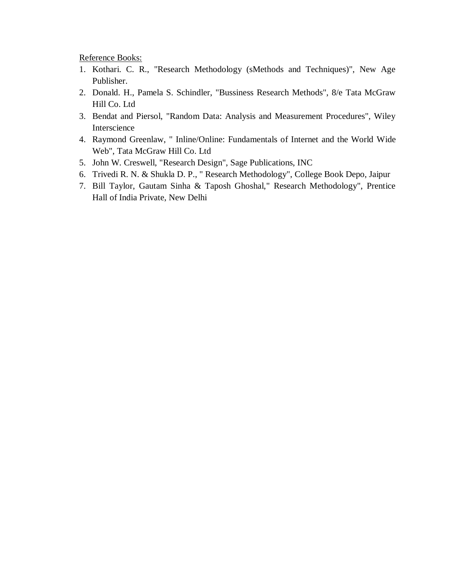Reference Books:

- 1. Kothari. C. R., "Research Methodology (sMethods and Techniques)", New Age Publisher.
- 2. Donald. H., Pamela S. Schindler, "Bussiness Research Methods", 8/e Tata McGraw Hill Co. Ltd
- 3. Bendat and Piersol, "Random Data: Analysis and Measurement Procedures", Wiley Interscience
- 4. Raymond Greenlaw, " Inline/Online: Fundamentals of Internet and the World Wide Web", Tata McGraw Hill Co. Ltd
- 5. John W. Creswell, "Research Design", Sage Publications, INC
- 6. Trivedi R. N. & Shukla D. P., " Research Methodology", College Book Depo, Jaipur
- 7. Bill Taylor, Gautam Sinha & Taposh Ghoshal," Research Methodology", Prentice Hall of India Private, New Delhi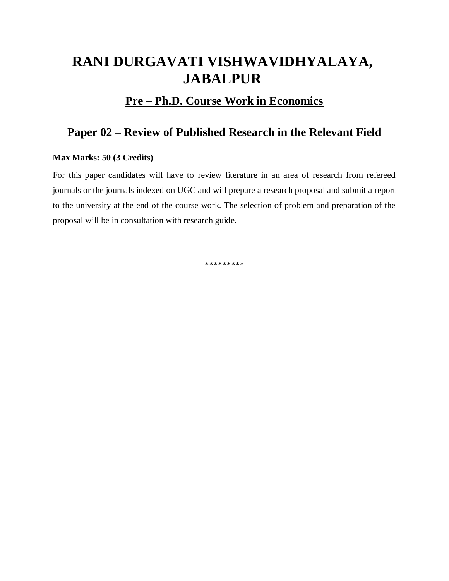# **RANI DURGAVATI VISHWAVIDHYALAYA, JABALPUR**

# **Pre – Ph.D. Course Work in Economics**

# **Paper 02 – Review of Published Research in the Relevant Field**

#### **Max Marks: 50 (3 Credits)**

For this paper candidates will have to review literature in an area of research from refereed journals or the journals indexed on UGC and will prepare a research proposal and submit a report to the university at the end of the course work. The selection of problem and preparation of the proposal will be in consultation with research guide.

\*\*\*\*\*\*\*\*\*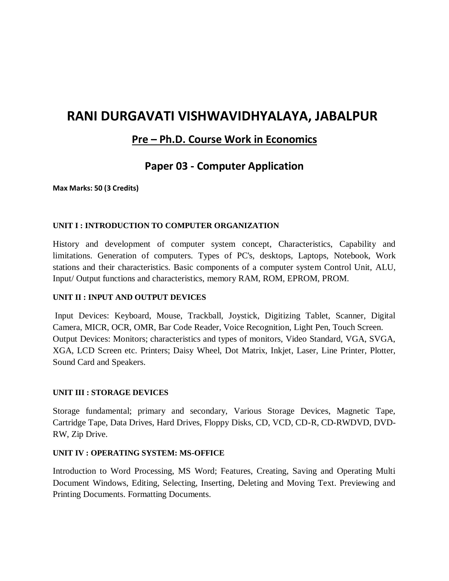# **RANI DURGAVATI VISHWAVIDHYALAYA, JABALPUR**

# **Pre – Ph.D. Course Work in Economics**

# **Paper 03 - Computer Application**

**Max Marks: 50 (3 Credits)**

#### **UNIT I : INTRODUCTION TO COMPUTER ORGANIZATION**

History and development of computer system concept, Characteristics, Capability and limitations. Generation of computers. Types of PC's, desktops, Laptops, Notebook, Work stations and their characteristics. Basic components of a computer system Control Unit, ALU, Input/ Output functions and characteristics, memory RAM, ROM, EPROM, PROM.

#### **UNIT II : INPUT AND OUTPUT DEVICES**

Input Devices: Keyboard, Mouse, Trackball, Joystick, Digitizing Tablet, Scanner, Digital Camera, MICR, OCR, OMR, Bar Code Reader, Voice Recognition, Light Pen, Touch Screen. Output Devices: Monitors; characteristics and types of monitors, Video Standard, VGA, SVGA, XGA, LCD Screen etc. Printers; Daisy Wheel, Dot Matrix, Inkjet, Laser, Line Printer, Plotter, Sound Card and Speakers.

#### **UNIT III : STORAGE DEVICES**

Storage fundamental; primary and secondary, Various Storage Devices, Magnetic Tape, Cartridge Tape, Data Drives, Hard Drives, Floppy Disks, CD, VCD, CD-R, CD-RWDVD, DVD-RW, Zip Drive.

#### **UNIT IV : OPERATING SYSTEM: MS-OFFICE**

Introduction to Word Processing, MS Word; Features, Creating, Saving and Operating Multi Document Windows, Editing, Selecting, Inserting, Deleting and Moving Text. Previewing and Printing Documents. Formatting Documents.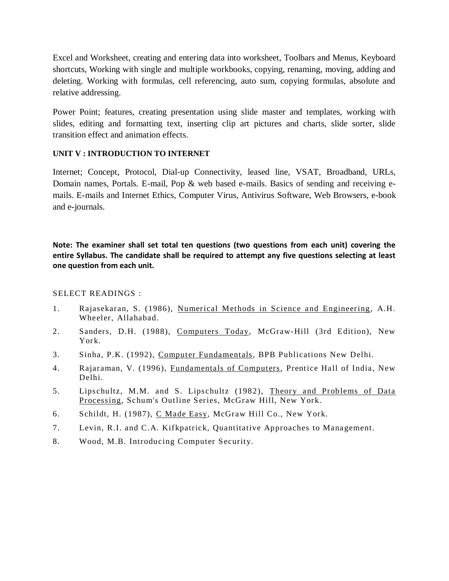Excel and Worksheet, creating and entering data into worksheet, Toolbars and Menus, Keyboard shortcuts, Working with single and multiple workbooks, copying, renaming, moving, adding and deleting. Working with formulas, cell referencing, auto sum, copying formulas, absolute and relative addressing.

Power Point; features, creating presentation using slide master and templates, working with slides, editing and formatting text, inserting clip art pictures and charts, slide sorter, slide transition effect and animation effects.

### **UNIT V : INTRODUCTION TO INTERNET**

Internet; Concept, Protocol, Dial-up Connectivity, leased line, VSAT, Broadband, URLs, Domain names, Portals. E-mail, Pop & web based e-mails. Basics of sending and receiving emails. E-mails and Internet Ethics, Computer Virus, Antivirus Software, Web Browsers, e-book and e-journals.

**Note: The examiner shall set total ten questions (two questions from each unit) covering the entire Syllabus. The candidate shall be required to attempt any five questions selecting at least one question from each unit.**

SELECT READINGS :

- 1. Rajasekaran, S. (1986), Numerical Methods in Science and Engineering, A.H. Wheeler, Allahabad.
- 2. Sanders, D.H. (1988), Computers Today, McGraw-Hill (3rd Edition), New York.
- 3. Sinha, P.K. (1992), Computer Fundamentals, BPB Publications New Delhi.
- 4. Rajaraman, V. (1996), Fundamentals of Computers, Prentice Hall of India, New Delhi.
- 5. Lipschultz, M.M. and S. Lipschultz (1982), Theory and Problems of Data Processing, Schum's Outline Series, McGraw Hill, New York.
- 6. Schildt, H. (1987), C Made Easy, McGraw Hill Co., New York.
- 7. Levin, R.I. and C.A. Kifkpatrick, Quantitative Approaches to Management.
- 8. Wood, M.B. Introducing Computer Security.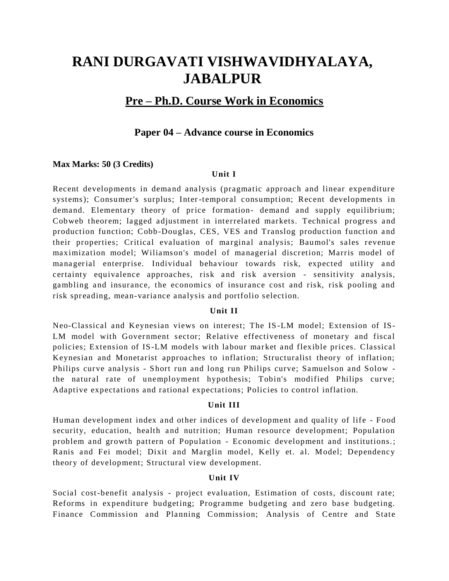# **RANI DURGAVATI VISHWAVIDHYALAYA, JABALPUR**

# **Pre – Ph.D. Course Work in Economics**

### **Paper 04 – Advance course in Economics**

#### **Max Marks: 50 (3 Credits)**

#### **Unit I**

Recent developments in demand analysis (pragmatic approach and linear expenditure systems); Consumer's surplus; Inter-temporal consumption; Recent developments in demand. Elementary theory of price formation- demand and supply equilibrium; Cobweb theorem; lagged adjustment in interrelated markets. Technical progress and production function; Cobb-Douglas, CES, VES and Translog production function and their properties; Critical evaluation of marginal analysis; Baumol's sales revenue maximization model; Wiliamson's model of managerial discretion; Marris model of managerial enterprise. Individual behaviour towards risk, expected utility and certainty equivalence approaches, risk and risk aversion - sensitivity analysis, gambling and insurance, the economics of insurance cost and risk, risk pooling and risk spreading, mean-variance analysis and portfolio selection.

#### **Unit II**

Neo-Classical and Keynesian views on interest; The IS -LM model; Extension of IS-LM model with Government sector; Relative effectiveness of monetary and fiscal policies; Extension of IS-LM models with labour market and flexible prices. Classical Keynesian and Monetarist approaches to inflation; Structuralist theory of inflation; Philips curve analysis - Short run and long run Philips curve; Samuelson and Solow the natural rate of unemployment hypothesis; Tobin's modified Philips curve; Adaptive expectations and rational expectations; Policies to control inflation.

#### **Unit III**

Human development index and other indices of development and quality of life - Food security, education, health and nutrition; Human resource development; Population problem and growth pattern of Population - Economic development and institutions.; Ranis and Fei model; Dixit and Marglin model, Kelly et. al. Model; Dependency theory of development; Structural view development.

#### **Unit IV**

Social cost-benefit analysis - project evaluation, Estimation of costs, discount rate; Reforms in expenditure budgeting; Programme budgeting and zero base budgeting. Finance Commission and Planning Commission; Analysis of Centre and State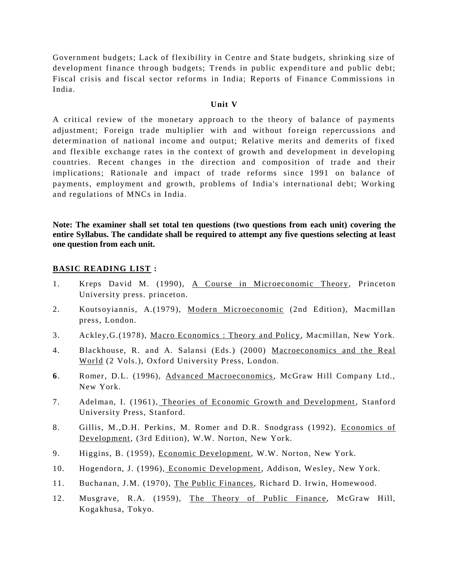Government budgets; Lack of flexibility in Centre and State budgets, shrinking size of development finance through budgets; Trends in public expenditure and public debt; Fiscal crisis and fiscal sector reforms in India; Reports of Finance Commissions in India.

#### **Unit V**

A critical review of the monetary approach to the theory of balance of payments adjustment; Foreign trade multiplier with and without foreign repercussions and determination of national income and output; Relative merits and demerits of fixed and flexible exchange rates in the context of growth and development in developing countries. Recent changes in the direction and composition of trade and their implications; Rationale and impact of trade reforms since 1991 on balance of payments, employment and growth, problems of India's international debt; Working and regulations of MNCs in India.

**Note: The examiner shall set total ten questions (two questions from each unit) covering the entire Syllabus. The candidate shall be required to attempt any five questions selecting at least one question from each unit.**

#### **BASIC READING LIST :**

- 1. Kreps David M. (1990), A Course in Microeconomic Theory, Princeton University press. princeton.
- 2. Koutsoyiannis, A.(1979), Modern Microeconomic (2nd Edition), Macmillan press, London.
- 3. Ackley,G.(1978), Macro Economics : Theory and Policy, Macmillan, New York.
- 4. Blackhouse, R. and A. Salansi (Eds.) (2000) Macroeconomics and the Real World (2 Vols.), Oxford University Press, London.
- **6**. Romer, D.L. (1996), Advanced Macroeconomics, McGraw Hill Company Ltd., New York.
- 7. Adelman, I. (1961), Theories of Economic Growth and Development , Stanford University Press, Stanford.
- 8. Gillis, M.,D.H. Perkins, M. Romer and D.R. Snodgrass (1992), Economics of Development, (3rd Edition), W.W. Norton, New York.
- 9. Higgins, B. (1959), Economic Development, W.W. Norton, New York.
- 10. Hogendorn, J. (1996), Economic Development, Addison, Wesley, New York.
- 11. Buchanan, J.M. (1970), The Public Finances, Richard D. Irwin, Homewood.
- 12. Musgrave, R.A. (1959), The Theory of Public Finance, McGraw Hill, Kogakhusa, Tokyo.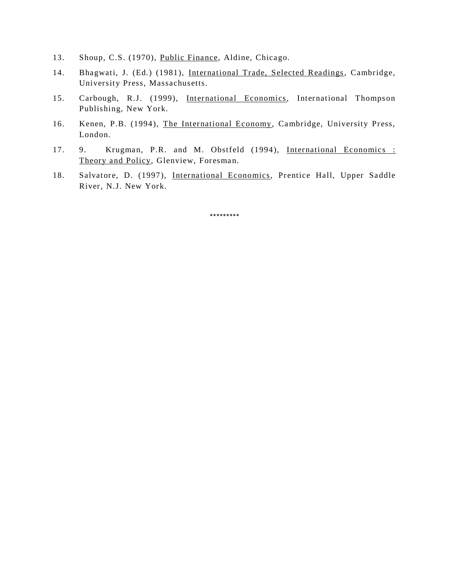- 13. Shoup, C.S. (1970), Public Finance, Aldine, Chicago.
- 14. Bhagwati, J. (Ed.) (1981), International Trade, Selected Readings, Cambridge, University Press, Massachusetts.
- 15. Carbough, R.J. (1999), International Economics, International Thompson Publishing, New York.
- 16. Kenen, P.B. (1994), The International Economy, Cambridge, University Press, London.
- 17. 9. Krugman, P.R. and M. Obstfeld (1994), International Economics : Theory and Policy, Glenview, Foresman.
- 18. Salvatore, D. (1997), International Economics, Prentice Hall, Upper Saddle River, N.J. New York.

\*\*\*\*\*\*\*\*\*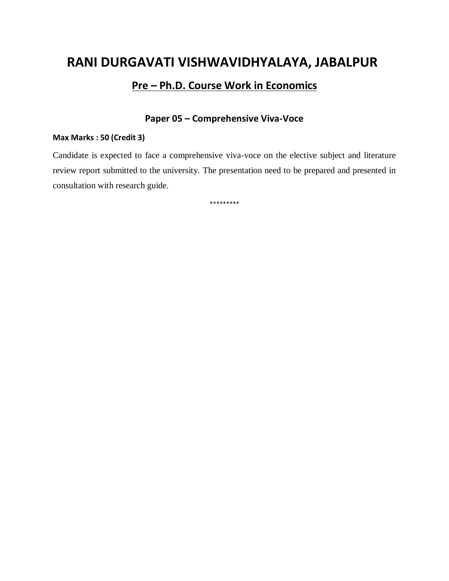# **RANI DURGAVATI VISHWAVIDHYALAYA, JABALPUR**

# **Pre – Ph.D. Course Work in Economics**

# **Paper 05 – Comprehensive Viva-Voce**

### **Max Marks : 50 (Credit 3)**

Candidate is expected to face a comprehensive viva-voce on the elective subject and literature review report submitted to the university. The presentation need to be prepared and presented in consultation with research guide.

\*\*\*\*\*\*\*\*\*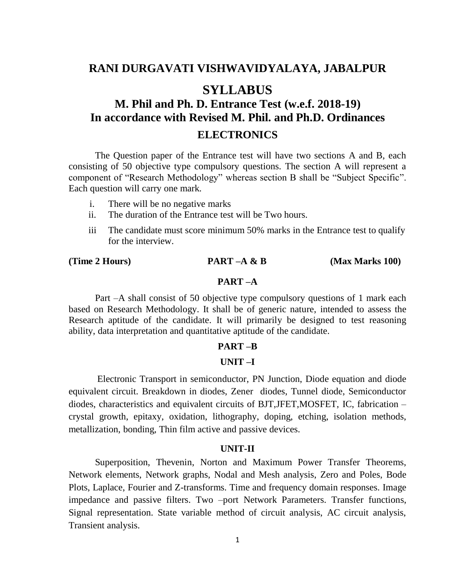# **RANI DURGAVATI VISHWAVIDYALAYA, JABALPUR**

# **SYLLABUS**

# **M. Phil and Ph. D. Entrance Test (w.e.f. 2018-19) In accordance with Revised M. Phil. and Ph.D. Ordinances ELECTRONICS**

The Question paper of the Entrance test will have two sections A and B, each consisting of 50 objective type compulsory questions. The section A will represent a component of "Research Methodology" whereas section B shall be "Subject Specific". Each question will carry one mark.

- i. There will be no negative marks
- ii. The duration of the Entrance test will be Two hours.
- iii The candidate must score minimum 50% marks in the Entrance test to qualify for the interview.

**(Time 2 Hours) PART –A & B (Max Marks 100)**

### **PART –A**

Part –A shall consist of 50 objective type compulsory questions of 1 mark each based on Research Methodology. It shall be of generic nature, intended to assess the Research aptitude of the candidate. It will primarily be designed to test reasoning ability, data interpretation and quantitative aptitude of the candidate.

#### **PART –B**

#### **UNIT –I**

Electronic Transport in semiconductor, PN Junction, Diode equation and diode equivalent circuit. Breakdown in diodes, Zener diodes, Tunnel diode, Semiconductor diodes, characteristics and equivalent circuits of BJT,JFET,MOSFET, IC, fabrication – crystal growth, epitaxy, oxidation, lithography, doping, etching, isolation methods, metallization, bonding, Thin film active and passive devices.

#### **UNIT-II**

Superposition, Thevenin, Norton and Maximum Power Transfer Theorems, Network elements, Network graphs, Nodal and Mesh analysis, Zero and Poles, Bode Plots, Laplace, Fourier and Z-transforms. Time and frequency domain responses. Image impedance and passive filters. Two –port Network Parameters. Transfer functions, Signal representation. State variable method of circuit analysis, AC circuit analysis, Transient analysis.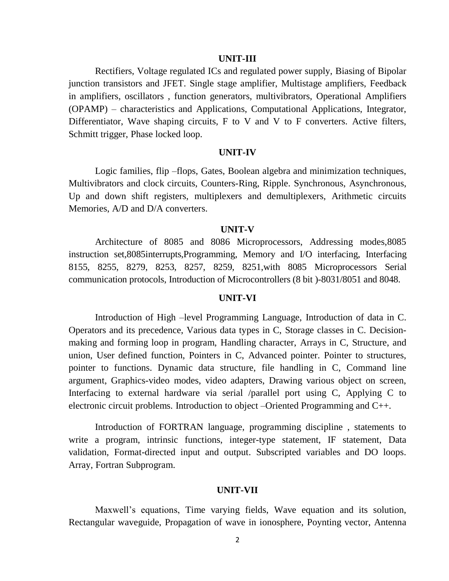#### **UNIT-III**

Rectifiers, Voltage regulated ICs and regulated power supply, Biasing of Bipolar junction transistors and JFET. Single stage amplifier, Multistage amplifiers, Feedback in amplifiers, oscillators , function generators, multivibrators, Operational Amplifiers (OPAMP) – characteristics and Applications, Computational Applications, Integrator, Differentiator, Wave shaping circuits, F to V and V to F converters. Active filters, Schmitt trigger, Phase locked loop.

#### **UNIT-IV**

Logic families, flip –flops, Gates, Boolean algebra and minimization techniques, Multivibrators and clock circuits, Counters-Ring, Ripple. Synchronous, Asynchronous, Up and down shift registers, multiplexers and demultiplexers, Arithmetic circuits Memories, A/D and D/A converters.

#### **UNIT-V**

Architecture of 8085 and 8086 Microprocessors, Addressing modes,8085 instruction set,8085interrupts,Programming, Memory and I/O interfacing, Interfacing 8155, 8255, 8279, 8253, 8257, 8259, 8251,with 8085 Microprocessors Serial communication protocols, Introduction of Microcontrollers (8 bit )-8031/8051 and 8048.

#### **UNIT-VI**

Introduction of High –level Programming Language, Introduction of data in C. Operators and its precedence, Various data types in C, Storage classes in C. Decisionmaking and forming loop in program, Handling character, Arrays in C, Structure, and union, User defined function, Pointers in C, Advanced pointer. Pointer to structures, pointer to functions. Dynamic data structure, file handling in C, Command line argument, Graphics-video modes, video adapters, Drawing various object on screen, Interfacing to external hardware via serial /parallel port using C, Applying C to electronic circuit problems. Introduction to object –Oriented Programming and C++.

Introduction of FORTRAN language, programming discipline , statements to write a program, intrinsic functions, integer-type statement, IF statement, Data validation, Format-directed input and output. Subscripted variables and DO loops. Array, Fortran Subprogram.

#### **UNIT-VII**

 Maxwell's equations, Time varying fields, Wave equation and its solution, Rectangular waveguide, Propagation of wave in ionosphere, Poynting vector, Antenna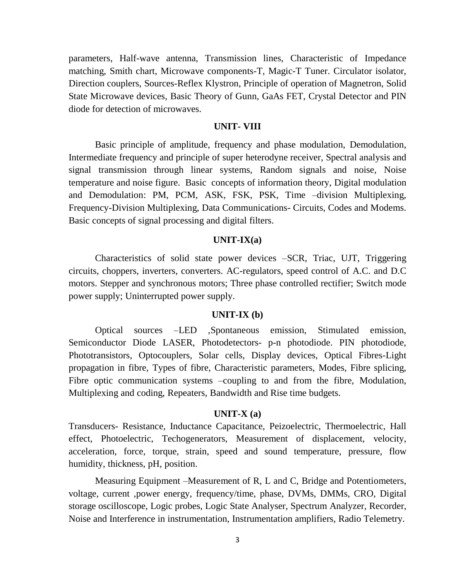parameters, Half-wave antenna, Transmission lines, Characteristic of Impedance matching, Smith chart, Microwave components-T, Magic-T Tuner. Circulator isolator, Direction couplers, Sources-Reflex Klystron, Principle of operation of Magnetron, Solid State Microwave devices, Basic Theory of Gunn, GaAs FET, Crystal Detector and PIN diode for detection of microwaves.

#### **UNIT- VIII**

Basic principle of amplitude, frequency and phase modulation, Demodulation, Intermediate frequency and principle of super heterodyne receiver, Spectral analysis and signal transmission through linear systems, Random signals and noise, Noise temperature and noise figure. Basic concepts of information theory, Digital modulation and Demodulation: PM, PCM, ASK, FSK, PSK, Time –division Multiplexing, Frequency-Division Multiplexing, Data Communications- Circuits, Codes and Modems. Basic concepts of signal processing and digital filters.

#### **UNIT-IX(a)**

 Characteristics of solid state power devices –SCR, Triac, UJT, Triggering circuits, choppers, inverters, converters. AC-regulators, speed control of A.C. and D.C motors. Stepper and synchronous motors; Three phase controlled rectifier; Switch mode power supply; Uninterrupted power supply.

#### **UNIT-IX (b)**

Optical sources –LED ,Spontaneous emission, Stimulated emission, Semiconductor Diode LASER, Photodetectors- p-n photodiode. PIN photodiode, Phototransistors, Optocouplers, Solar cells, Display devices, Optical Fibres-Light propagation in fibre, Types of fibre, Characteristic parameters, Modes, Fibre splicing, Fibre optic communication systems –coupling to and from the fibre, Modulation, Multiplexing and coding, Repeaters, Bandwidth and Rise time budgets.

#### **UNIT-X (a)**

Transducers- Resistance, Inductance Capacitance, Peizoelectric, Thermoelectric, Hall effect, Photoelectric, Techogenerators, Measurement of displacement, velocity, acceleration, force, torque, strain, speed and sound temperature, pressure, flow humidity, thickness, pH, position.

Measuring Equipment –Measurement of R, L and C, Bridge and Potentiometers, voltage, current ,power energy, frequency/time, phase, DVMs, DMMs, CRO, Digital storage oscilloscope, Logic probes, Logic State Analyser, Spectrum Analyzer, Recorder, Noise and Interference in instrumentation, Instrumentation amplifiers, Radio Telemetry.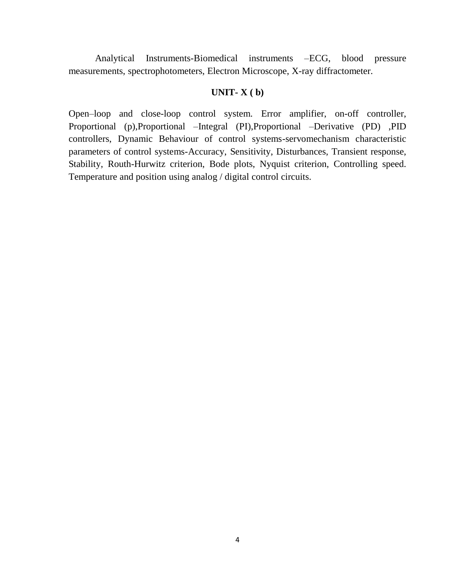Analytical Instruments-Biomedical instruments –ECG, blood pressure measurements, spectrophotometers, Electron Microscope, X-ray diffractometer.

### **UNIT- X ( b)**

Open–loop and close-loop control system. Error amplifier, on-off controller, Proportional (p),Proportional –Integral (PI),Proportional –Derivative (PD) ,PID controllers, Dynamic Behaviour of control systems-servomechanism characteristic parameters of control systems-Accuracy, Sensitivity, Disturbances, Transient response, Stability, Routh-Hurwitz criterion, Bode plots, Nyquist criterion, Controlling speed. Temperature and position using analog / digital control circuits.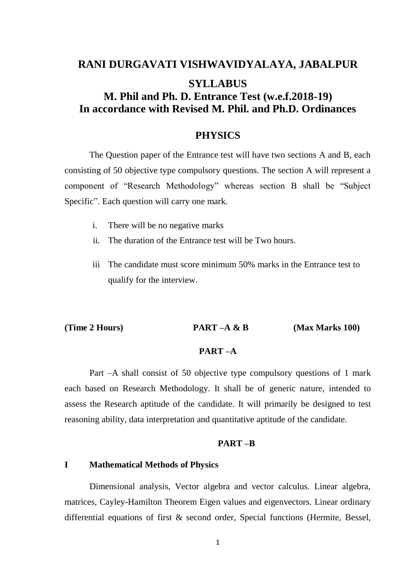# **RANI DURGAVATI VISHWAVIDYALAYA, JABALPUR SYLLABUS M. Phil and Ph. D. Entrance Test (w.e.f.2018-19) In accordance with Revised M. Phil. and Ph.D. Ordinances**

# **PHYSICS**

The Question paper of the Entrance test will have two sections A and B, each consisting of 50 objective type compulsory questions. The section A will represent a component of "Research Methodology" whereas section B shall be "Subject Specific". Each question will carry one mark.

- i. There will be no negative marks
- ii. The duration of the Entrance test will be Two hours.
- iii The candidate must score minimum 50% marks in the Entrance test to qualify for the interview.

**(Time 2 Hours) PART –A & B (Max Marks 100)**

### **PART –A**

Part –A shall consist of 50 objective type compulsory questions of 1 mark each based on Research Methodology. It shall be of generic nature, intended to assess the Research aptitude of the candidate. It will primarily be designed to test reasoning ability, data interpretation and quantitative aptitude of the candidate.

#### **PART –B**

# **I Mathematical Methods of Physics**

Dimensional analysis, Vector algebra and vector calculus. Linear algebra, matrices, Cayley-Hamilton Theorem Eigen values and eigenvectors. Linear ordinary differential equations of first & second order, Special functions (Hermite, Bessel,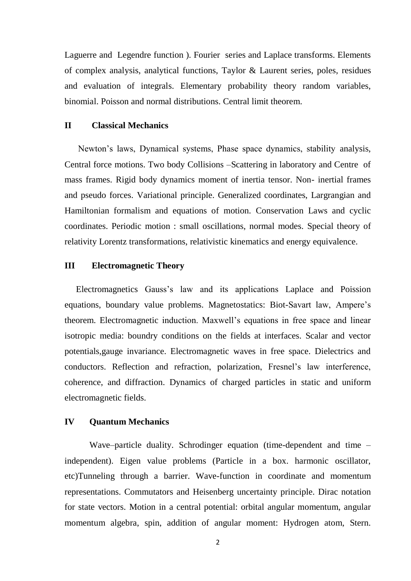Laguerre and Legendre function ). Fourier series and Laplace transforms. Elements of complex analysis, analytical functions, Taylor & Laurent series, poles, residues and evaluation of integrals. Elementary probability theory random variables, binomial. Poisson and normal distributions. Central limit theorem.

# **II Classical Mechanics**

 Newton's laws, Dynamical systems, Phase space dynamics, stability analysis, Central force motions. Two body Collisions –Scattering in laboratory and Centre of mass frames. Rigid body dynamics moment of inertia tensor. Non- inertial frames and pseudo forces. Variational principle. Generalized coordinates, Largrangian and Hamiltonian formalism and equations of motion. Conservation Laws and cyclic coordinates. Periodic motion : small oscillations, normal modes. Special theory of relativity Lorentz transformations, relativistic kinematics and energy equivalence.

#### **III Electromagnetic Theory**

 Electromagnetics Gauss's law and its applications Laplace and Poission equations, boundary value problems. Magnetostatics: Biot-Savart law, Ampere's theorem. Electromagnetic induction. Maxwell's equations in free space and linear isotropic media: boundry conditions on the fields at interfaces. Scalar and vector potentials,gauge invariance. Electromagnetic waves in free space. Dielectrics and conductors. Reflection and refraction, polarization, Fresnel's law interference, coherence, and diffraction. Dynamics of charged particles in static and uniform electromagnetic fields.

### **IV Quantum Mechanics**

Wave–particle duality. Schrodinger equation (time-dependent and time – independent). Eigen value problems (Particle in a box. harmonic oscillator, etc)Tunneling through a barrier. Wave-function in coordinate and momentum representations. Commutators and Heisenberg uncertainty principle. Dirac notation for state vectors. Motion in a central potential: orbital angular momentum, angular momentum algebra, spin, addition of angular moment: Hydrogen atom, Stern.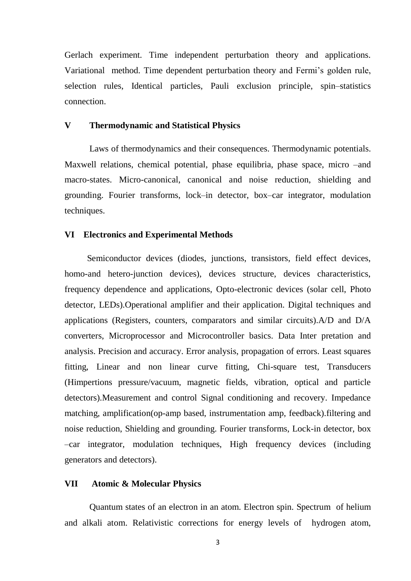Gerlach experiment. Time independent perturbation theory and applications. Variational method. Time dependent perturbation theory and Fermi's golden rule, selection rules, Identical particles, Pauli exclusion principle, spin–statistics connection.

# **V Thermodynamic and Statistical Physics**

Laws of thermodynamics and their consequences. Thermodynamic potentials. Maxwell relations, chemical potential, phase equilibria, phase space, micro –and macro-states. Micro-canonical, canonical and noise reduction, shielding and grounding. Fourier transforms, lock–in detector, box–car integrator, modulation techniques.

#### **VI Electronics and Experimental Methods**

 Semiconductor devices (diodes, junctions, transistors, field effect devices, homo-and hetero-junction devices), devices structure, devices characteristics, frequency dependence and applications, Opto-electronic devices (solar cell, Photo detector, LEDs).Operational amplifier and their application. Digital techniques and applications (Registers, counters, comparators and similar circuits).A/D and D/A converters, Microprocessor and Microcontroller basics. Data Inter pretation and analysis. Precision and accuracy. Error analysis, propagation of errors. Least squares fitting, Linear and non linear curve fitting, Chi-square test, Transducers (Himpertions pressure/vacuum, magnetic fields, vibration, optical and particle detectors).Measurement and control Signal conditioning and recovery. Impedance matching, amplification(op-amp based, instrumentation amp, feedback).filtering and noise reduction, Shielding and grounding. Fourier transforms, Lock-in detector, box –car integrator, modulation techniques, High frequency devices (including generators and detectors).

#### **VII Atomic & Molecular Physics**

 Quantum states of an electron in an atom. Electron spin. Spectrum of helium and alkali atom. Relativistic corrections for energy levels of hydrogen atom,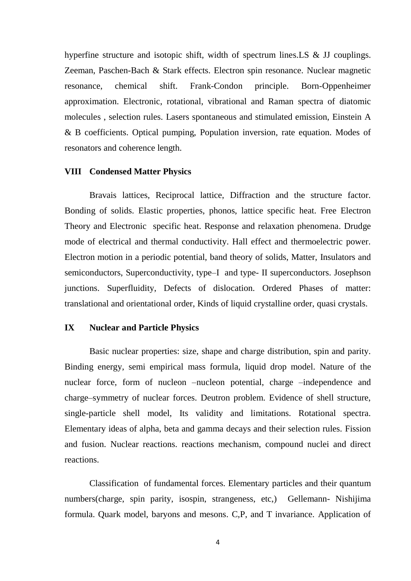hyperfine structure and isotopic shift, width of spectrum lines.LS & JJ couplings. Zeeman, Paschen-Bach & Stark effects. Electron spin resonance. Nuclear magnetic resonance, chemical shift. Frank-Condon principle. Born-Oppenheimer approximation. Electronic, rotational, vibrational and Raman spectra of diatomic molecules , selection rules. Lasers spontaneous and stimulated emission, Einstein A & B coefficients. Optical pumping, Population inversion, rate equation. Modes of resonators and coherence length.

#### **VIII Condensed Matter Physics**

 Bravais lattices, Reciprocal lattice, Diffraction and the structure factor. Bonding of solids. Elastic properties, phonos, lattice specific heat. Free Electron Theory and Electronic specific heat. Response and relaxation phenomena. Drudge mode of electrical and thermal conductivity. Hall effect and thermoelectric power. Electron motion in a periodic potential, band theory of solids, Matter, Insulators and semiconductors, Superconductivity, type–I and type- II superconductors. Josephson junctions. Superfluidity, Defects of dislocation. Ordered Phases of matter: translational and orientational order, Kinds of liquid crystalline order, quasi crystals.

#### **IX Nuclear and Particle Physics**

Basic nuclear properties: size, shape and charge distribution, spin and parity. Binding energy, semi empirical mass formula, liquid drop model. Nature of the nuclear force, form of nucleon –nucleon potential, charge –independence and charge–symmetry of nuclear forces. Deutron problem. Evidence of shell structure, single-particle shell model, Its validity and limitations. Rotational spectra. Elementary ideas of alpha, beta and gamma decays and their selection rules. Fission and fusion. Nuclear reactions. reactions mechanism, compound nuclei and direct reactions.

Classification of fundamental forces. Elementary particles and their quantum numbers(charge, spin parity, isospin, strangeness, etc,) Gellemann- Nishijima formula. Quark model, baryons and mesons. C,P, and T invariance. Application of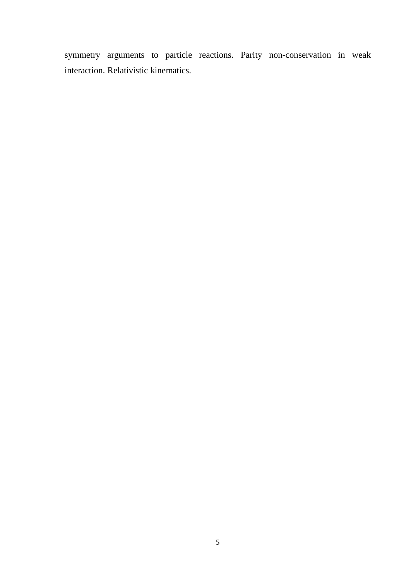symmetry arguments to particle reactions. Parity non-conservation in weak interaction. Relativistic kinematics.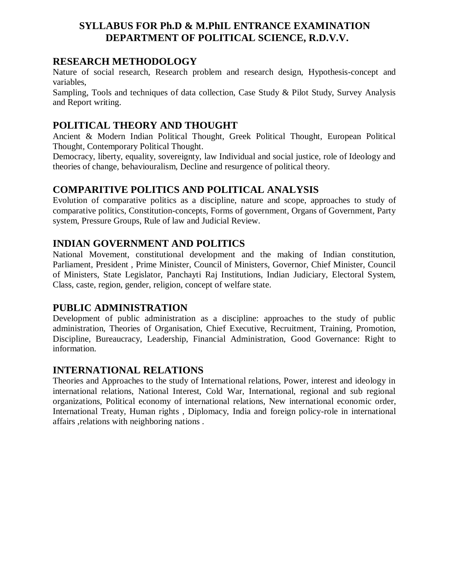# **SYLLABUS FOR Ph.D & M.PhIL ENTRANCE EXAMINATION DEPARTMENT OF POLITICAL SCIENCE, R.D.V.V.**

# **RESEARCH METHODOLOGY**

Nature of social research, Research problem and research design, Hypothesis-concept and variables,

Sampling, Tools and techniques of data collection, Case Study & Pilot Study, Survey Analysis and Report writing.

# **POLITICAL THEORY AND THOUGHT**

Ancient & Modern Indian Political Thought, Greek Political Thought, European Political Thought, Contemporary Political Thought.

Democracy, liberty, equality, sovereignty, law Individual and social justice, role of Ideology and theories of change, behaviouralism, Decline and resurgence of political theory.

# **COMPARITIVE POLITICS AND POLITICAL ANALYSIS**

Evolution of comparative politics as a discipline, nature and scope, approaches to study of comparative politics, Constitution-concepts, Forms of government, Organs of Government, Party system, Pressure Groups, Rule of law and Judicial Review.

# **INDIAN GOVERNMENT AND POLITICS**

National Movement, constitutional development and the making of Indian constitution, Parliament, President , Prime Minister, Council of Ministers, Governor, Chief Minister, Council of Ministers, State Legislator, Panchayti Raj Institutions, Indian Judiciary, Electoral System, Class, caste, region, gender, religion, concept of welfare state.

# **PUBLIC ADMINISTRATION**

Development of public administration as a discipline: approaches to the study of public administration, Theories of Organisation, Chief Executive, Recruitment, Training, Promotion, Discipline, Bureaucracy, Leadership, Financial Administration, Good Governance: Right to information.

# **INTERNATIONAL RELATIONS**

Theories and Approaches to the study of International relations, Power, interest and ideology in international relations, National Interest, Cold War, International, regional and sub regional organizations, Political economy of international relations, New international economic order, International Treaty, Human rights , Diplomacy, India and foreign policy-role in international affairs ,relations with neighboring nations .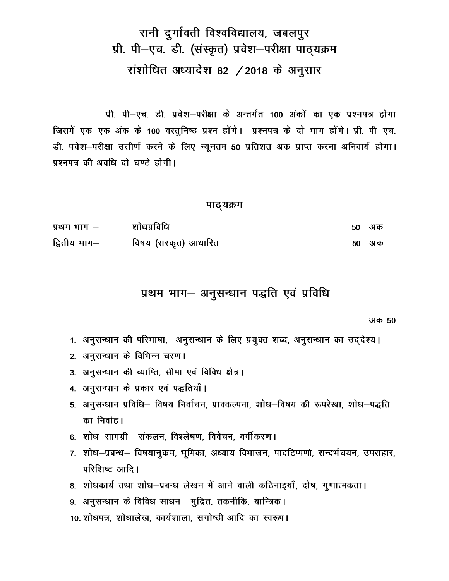# रानी दुर्गावती विश्वविद्यालय, जबलपुर प्री. पी-एच. डी. (संस्कृत) प्रवेश-परीक्षा पाठ्यक्रम संशोधित अध्यादेश 82 / 2018 के अनुसार

प्री. पी–एच. डी. प्रवेश–परीक्षा के अन्तर्गत 100 अंकों का एक प्रश्नपत्र होगा जिसमें एक-एक अंक के 100 वस्तुनिष्ठ प्रश्न होंगे। प्रश्नपत्र के दो भाग होंगे। प्री. पी-एच. डी. पवेश-परीक्षा उत्तीर्ण करने के लिए न्यूनतम 50 प्रतिशत अंक प्राप्त करना अनिवार्य होगा। प्रश्नपत्र की अवधि दो घण्टे होगी।

#### पाठ्यक्रम

| प्रथम भाग –  | शोधप्रविधि            | 50 अक         |
|--------------|-----------------------|---------------|
| द्वितीय भाग— | विषय (संस्कृत) आधारित | <b>50 अंक</b> |

# प्रथम भाग- अनुसन्धान पद्धति एवं प्रविधि

अंक **50** 

- 1. अनुसन्धान की परिभाषा, अनुसन्धान के लिए प्रयुक्त शब्द, अनुसन्धान का उद्देश्य।
- 2. अनुसन्धान के विभिन्न चरण।
- 3. अनुसन्धान की व्याप्ति, सीमा एवं विविध क्षेत्र।
- 4. अनुसन्धान के प्रकार एवं पद्धतियाँ।
- 5. अनुसन्धान प्रविधि– विषय निर्वाचन, प्राक्कल्पना, शोध–विषय की रूपरेखा, शोध–पद्धति का निर्वाह।
- 6. शोध—सामग्री— संकलन, विश्लेषण, विवेचन, वर्गीकरण।
- 7. शोध-प्रबन्ध- विषयानुकम, भूमिका, अध्याय विभाजन, पादटिप्पणो, सन्दर्भचयन, उपसंहार, परिशिष्ट आदि।
- 8. शोधकार्य तथा शोध-प्रबन्ध लेखन में आने वाली कठिनाइयाँ, दोष, गुणात्मकता।
- 9. अनुसन्धान के विविध साधन– मुद्रित, तकनीकि, यान्त्रिक।
- 10. शोधपत्र, शोधालेख, कार्यशाला, संगोष्ठी आदि का स्वरूप।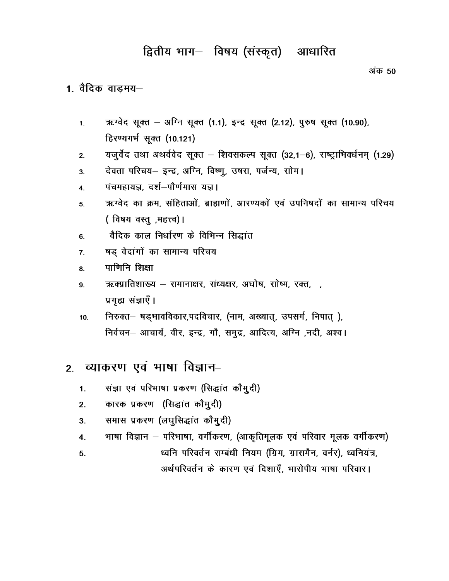# द्वितीय भाग- विषय (संस्कृत) आधारित

अंक 50

# 1. वैदिक वाड़मय-

- ऋग्वेद सूक्त अग्नि सूक्त (1.1), इन्द्र सूक्त (2.12), पुरुष सूक्त (10.90),  $1.$ हिरण्यगर्भ सूक्त (10.121)
- यजुर्वेद तथा अथर्ववेद सूक्त शिवसकल्प सूक्त (32,1–6), राष्ट्राभिवर्धनम् (1.29)  $2.$
- देवता परिचय- इन्द्र, अग्नि, विष्णू, उषस, पर्जन्य, सोम।  $3.$
- पंचमहायज्ञ. दर्श-पौर्णमास यज्ञ।  $\overline{4}$
- ऋग्वेद का क्रम, संहिताओं, ब्राह्मणों, आरण्यकों एवं उपनिषदों का सामान्य परिचय 5. (विषय वस्तु, महत्त्व)।
- वैदिक काल निर्धारण के विभिन्न सिद्धांत 6.
- षड़ वेदांगों का सामान्य परिचय  $\overline{7}$ .
- पाणिनि शिक्षा 8.
- ऋक्प्रातिशाख्य समानाक्षर, संध्यक्षर, अघोष, सोष्म, रक्त, , 9. प्रगृह्य संज्ञाएँ।
- निरुक्त- षड़भावविकार,पदविचार, (नाम, अख्यात्, उपसर्ग, निपात्),  $10.$ निर्वचन- आचार्य, वीर, इन्द्र, गौ, समुद्र, आदित्य, अग्नि, नदी, अश्व।

#### व्याकरण एवं भाषा विज्ञान–  $2<sup>2</sup>$

- संज्ञा एवं परिभाषा प्रकरण (सिद्धांत कौमुदी)  $\mathbf{1}$ .
- कारक प्रकरण (सिद्धांत कौमुदी)  $2.$
- समास प्रकरण (लघुसिद्धांत कौमूदी)  $3<sub>1</sub>$
- भाषा विज्ञान परिभाषा, वर्गीकरण, (आकृतिमूलक एवं परिवार मूलक वर्गीकरण)  $\overline{4}$ .
- ध्वनि परिवर्तन सम्बंधी नियम (ग्रिम, ग्रासमैन, वर्नर), ध्वनियंत्र,  $5<sub>1</sub>$ अर्थपरिवर्तन के कारण एवं दिशाएँ. भारोपीय भाषा परिवार।